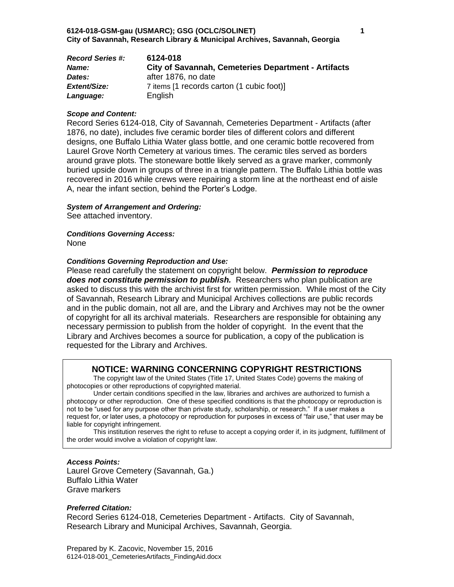| <b>Record Series #:</b> | 6124-018                                                   |
|-------------------------|------------------------------------------------------------|
| <b>Name:</b>            | <b>City of Savannah, Cemeteries Department - Artifacts</b> |
| Dates:                  | after 1876, no date                                        |
| Extent/Size:            | 7 items [1 records carton (1 cubic foot)]                  |
| Language:               | English                                                    |

### *Scope and Content:*

Record Series 6124-018, City of Savannah, Cemeteries Department - Artifacts (after 1876, no date), includes five ceramic border tiles of different colors and different designs, one Buffalo Lithia Water glass bottle, and one ceramic bottle recovered from Laurel Grove North Cemetery at various times. The ceramic tiles served as borders around grave plots. The stoneware bottle likely served as a grave marker, commonly buried upside down in groups of three in a triangle pattern. The Buffalo Lithia bottle was recovered in 2016 while crews were repairing a storm line at the northeast end of aisle A, near the infant section, behind the Porter's Lodge.

# *System of Arrangement and Ordering:*

See attached inventory.

*Conditions Governing Access:* None

# *Conditions Governing Reproduction and Use:*

Please read carefully the statement on copyright below. *Permission to reproduce does not constitute permission to publish.* Researchers who plan publication are asked to discuss this with the archivist first for written permission. While most of the City of Savannah, Research Library and Municipal Archives collections are public records and in the public domain, not all are, and the Library and Archives may not be the owner of copyright for all its archival materials. Researchers are responsible for obtaining any necessary permission to publish from the holder of copyright. In the event that the Library and Archives becomes a source for publication, a copy of the publication is requested for the Library and Archives.

# **NOTICE: WARNING CONCERNING COPYRIGHT RESTRICTIONS**

The copyright law of the United States (Title 17, United States Code) governs the making of photocopies or other reproductions of copyrighted material.

Under certain conditions specified in the law, libraries and archives are authorized to furnish a photocopy or other reproduction. One of these specified conditions is that the photocopy or reproduction is not to be "used for any purpose other than private study, scholarship, or research." If a user makes a request for, or later uses, a photocopy or reproduction for purposes in excess of "fair use," that user may be liable for copyright infringement.

This institution reserves the right to refuse to accept a copying order if, in its judgment, fulfillment of the order would involve a violation of copyright law.

### *Access Points:*

Laurel Grove Cemetery (Savannah, Ga.) Buffalo Lithia Water Grave markers

### *Preferred Citation:*

Record Series 6124-018, Cemeteries Department - Artifacts. City of Savannah, Research Library and Municipal Archives, Savannah, Georgia.

Prepared by K. Zacovic, November 15, 2016 6124-018-001\_CemeteriesArtifacts\_FindingAid.docx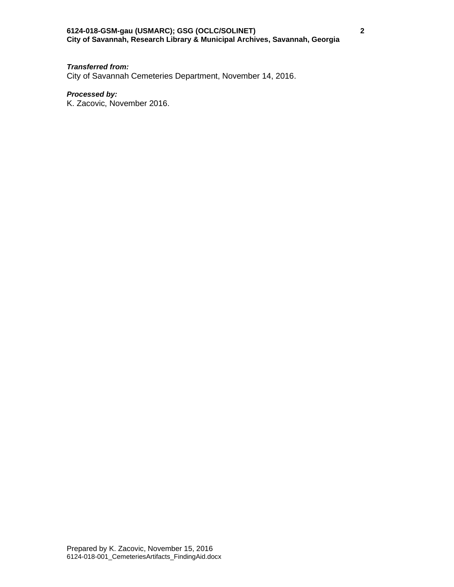# **6124-018-GSM-gau (USMARC); GSG (OCLC/SOLINET) 2 City of Savannah, Research Library & Municipal Archives, Savannah, Georgia**

# *Transferred from:*

City of Savannah Cemeteries Department, November 14, 2016.

## *Processed by:*

K. Zacovic, November 2016.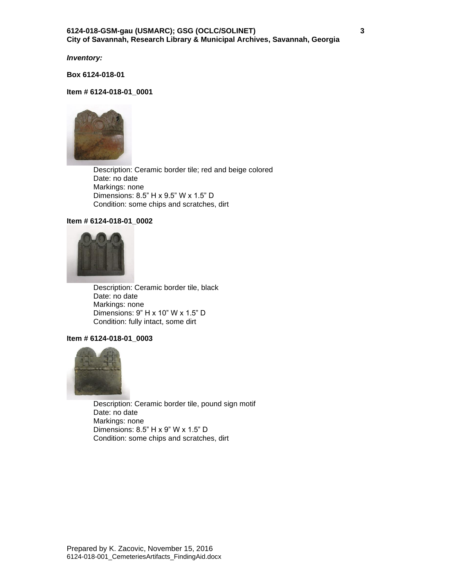# **6124-018-GSM-gau (USMARC); GSG (OCLC/SOLINET) 3 City of Savannah, Research Library & Municipal Archives, Savannah, Georgia**

*Inventory:*

**Box 6124-018-01**

# **Item # 6124-018-01\_0001**



Description: Ceramic border tile; red and beige colored Date: no date Markings: none Dimensions: 8.5" H x 9.5" W x 1.5" D Condition: some chips and scratches, dirt

#### **Item # 6124-018-01\_0002**



Description: Ceramic border tile, black Date: no date Markings: none Dimensions: 9" H x 10" W x 1.5" D Condition: fully intact, some dirt

### **Item # 6124-018-01\_0003**



Description: Ceramic border tile, pound sign motif Date: no date Markings: none Dimensions: 8.5" H x 9" W x 1.5" D Condition: some chips and scratches, dirt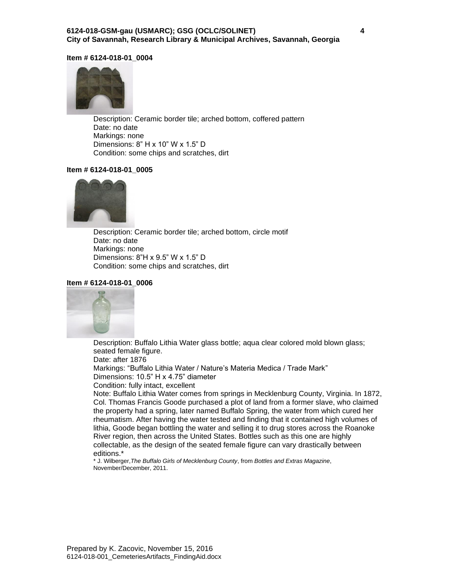## **6124-018-GSM-gau (USMARC); GSG (OCLC/SOLINET) 4 City of Savannah, Research Library & Municipal Archives, Savannah, Georgia**

#### **Item # 6124-018-01\_0004**



Description: Ceramic border tile; arched bottom, coffered pattern Date: no date Markings: none Dimensions: 8" H x 10" W x 1.5" D Condition: some chips and scratches, dirt

#### **Item # 6124-018-01\_0005**



Description: Ceramic border tile; arched bottom, circle motif Date: no date Markings: none Dimensions: 8"H x 9.5" W x 1.5" D Condition: some chips and scratches, dirt

#### **Item # 6124-018-01\_0006**



Description: Buffalo Lithia Water glass bottle; aqua clear colored mold blown glass; seated female figure. Date: after 1876

Markings: "Buffalo Lithia Water / Nature's Materia Medica / Trade Mark"

Dimensions: 10.5" H x 4.75" diameter

Condition: fully intact, excellent

Note: Buffalo Lithia Water comes from springs in Mecklenburg County, Virginia. In 1872, Col. Thomas Francis Goode purchased a plot of land from a former slave, who claimed the property had a spring, later named Buffalo Spring, the water from which cured her rheumatism. After having the water tested and finding that it contained high volumes of lithia, Goode began bottling the water and selling it to drug stores across the Roanoke River region, then across the United States. Bottles such as this one are highly collectable, as the design of the seated female figure can vary drastically between editions.\*

\* J. Wilberger,*The Buffalo Girls of Mecklenburg County*, from *Bottles and Extras Magazine*, November/December, 2011.